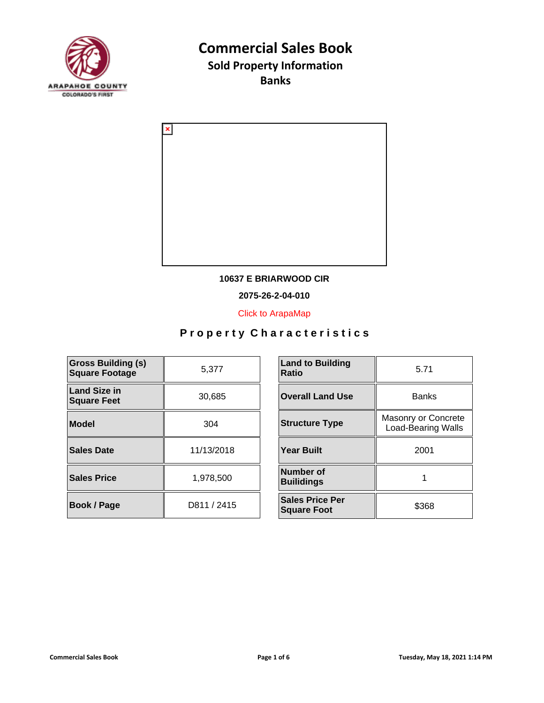

**Banks**



#### **10637 E BRIARWOOD CIR**

**2075-26-2-04-010**

[Click to ArapaMap](https://gis.arapahoegov.com/arapamaplite/?PARCEL=2075-26-2-04-010)

| <b>Gross Building (s)</b><br><b>Square Footage</b> | 5,377       | <b>Land to Building</b><br><b>Ratio</b>      |
|----------------------------------------------------|-------------|----------------------------------------------|
| Land Size in<br><b>Square Feet</b>                 | 30,685      | <b>Overall Land Use</b>                      |
| Model                                              | 304         | <b>Structure Type</b>                        |
| Sales Date                                         | 11/13/2018  | <b>Year Built</b>                            |
| <b>Sales Price</b>                                 | 1,978,500   | Number of<br><b>Builidings</b>               |
| <b>Book / Page</b>                                 | D811 / 2415 | <b>Sales Price Per</b><br><b>Square Foot</b> |

| <b>Land to Building</b><br><b>Ratio</b>      | 5.71                                             |  |
|----------------------------------------------|--------------------------------------------------|--|
| <b>Overall Land Use</b>                      | <b>Banks</b>                                     |  |
| <b>Structure Type</b>                        | Masonry or Concrete<br><b>Load-Bearing Walls</b> |  |
| <b>Year Built</b>                            | 2001                                             |  |
| Number of<br><b>Builidings</b>               |                                                  |  |
| <b>Sales Price Per</b><br><b>Square Foot</b> | \$368                                            |  |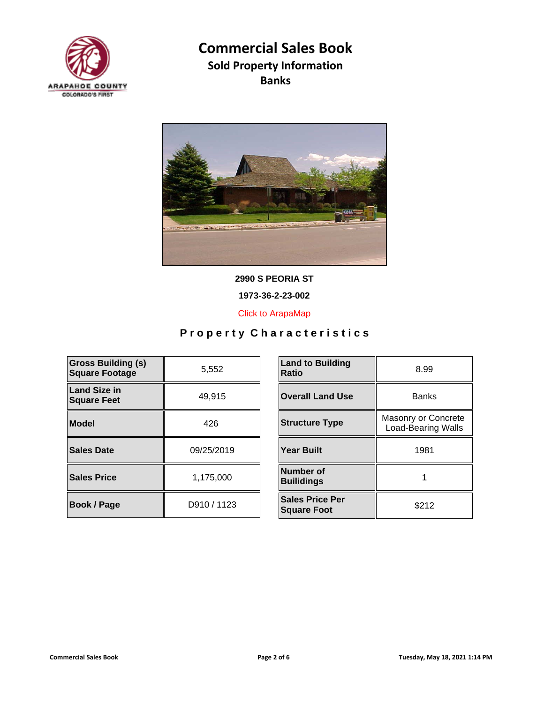



**2990 S PEORIA ST**

**1973-36-2-23-002**

[Click to ArapaMap](https://gis.arapahoegov.com/arapamaplite/?PARCEL=1973-36-2-23-002)

| <b>Gross Building (s)</b><br><b>Square Footage</b> | 5,552       | <b>Land to Building</b><br><b>Ratio</b>      |
|----------------------------------------------------|-------------|----------------------------------------------|
| <b>Land Size in</b><br><b>Square Feet</b>          | 49.915      | <b>Overall Land Use</b>                      |
| Model                                              | 426         | <b>Structure Type</b>                        |
| Sales Date                                         | 09/25/2019  | <b>Year Built</b>                            |
| <b>Sales Price</b>                                 | 1,175,000   | Number of<br><b>Builidings</b>               |
| <b>Book / Page</b>                                 | D910 / 1123 | <b>Sales Price Per</b><br><b>Square Foot</b> |

| <b>Land to Building</b><br>Ratio             | 8.99                                             |
|----------------------------------------------|--------------------------------------------------|
| <b>Overall Land Use</b>                      | <b>Banks</b>                                     |
| <b>Structure Type</b>                        | Masonry or Concrete<br><b>Load-Bearing Walls</b> |
| <b>Year Built</b>                            | 1981                                             |
| Number of<br><b>Builidings</b>               |                                                  |
| <b>Sales Price Per</b><br><b>Square Foot</b> | \$212                                            |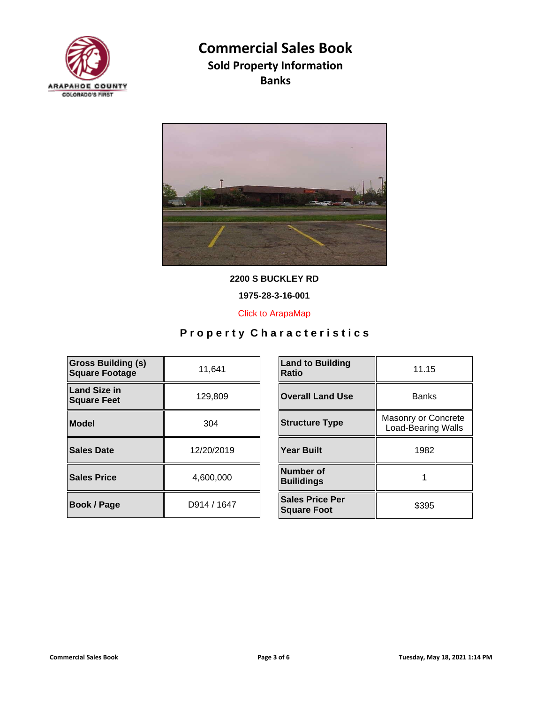



**2200 S BUCKLEY RD**

**1975-28-3-16-001**

[Click to ArapaMap](https://gis.arapahoegov.com/arapamaplite/?PARCEL=1975-28-3-16-001)

| <b>Gross Building (s)</b><br><b>Square Footage</b> | 11,641      | <b>Land to Building</b><br><b>Ratio</b>      |
|----------------------------------------------------|-------------|----------------------------------------------|
| <b>Land Size in</b><br><b>Square Feet</b>          | 129,809     | <b>Overall Land Use</b>                      |
| Model                                              | 304         | <b>Structure Type</b>                        |
| Sales Date                                         | 12/20/2019  | <b>Year Built</b>                            |
| <b>Sales Price</b>                                 | 4.600.000   | Number of<br><b>Builidings</b>               |
| <b>Book / Page</b>                                 | D914 / 1647 | <b>Sales Price Per</b><br><b>Square Foot</b> |

| <b>Land to Building</b><br>Ratio             | 11.15                                            |  |
|----------------------------------------------|--------------------------------------------------|--|
| <b>Overall Land Use</b>                      | <b>Banks</b>                                     |  |
| <b>Structure Type</b>                        | Masonry or Concrete<br><b>Load-Bearing Walls</b> |  |
| <b>Year Built</b>                            | 1982                                             |  |
| Number of<br><b>Builidings</b>               |                                                  |  |
| <b>Sales Price Per</b><br><b>Square Foot</b> | \$395                                            |  |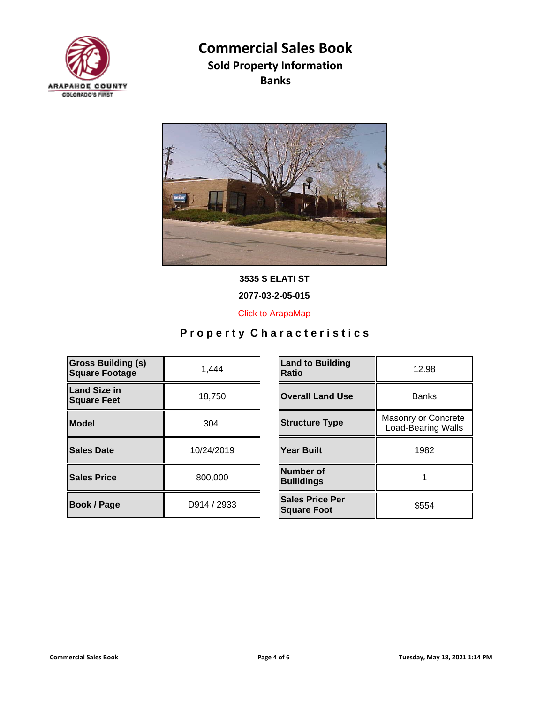



**3535 S ELATI ST**

**2077-03-2-05-015**

[Click to ArapaMap](https://gis.arapahoegov.com/arapamaplite/?PARCEL=2077-03-2-05-015)

| <b>Gross Building (s)</b><br><b>Square Footage</b> | 1.444       | <b>Land to Building</b><br><b>Ratio</b>      |
|----------------------------------------------------|-------------|----------------------------------------------|
| Land Size in<br><b>Square Feet</b>                 | 18,750      | <b>Overall Land Use</b>                      |
| Model                                              | 304         | <b>Structure Type</b>                        |
| Sales Date                                         | 10/24/2019  | <b>Year Built</b>                            |
| <b>Sales Price</b>                                 | 800,000     | Number of<br><b>Builidings</b>               |
| <b>Book / Page</b>                                 | D914 / 2933 | <b>Sales Price Per</b><br><b>Square Foot</b> |

| <b>Land to Building</b><br>Ratio             | 12.98                                            |
|----------------------------------------------|--------------------------------------------------|
| <b>Overall Land Use</b>                      | <b>Banks</b>                                     |
| <b>Structure Type</b>                        | Masonry or Concrete<br><b>Load-Bearing Walls</b> |
| <b>Year Built</b>                            | 1982                                             |
| Number of<br><b>Builidings</b>               |                                                  |
| <b>Sales Price Per</b><br><b>Square Foot</b> | \$554                                            |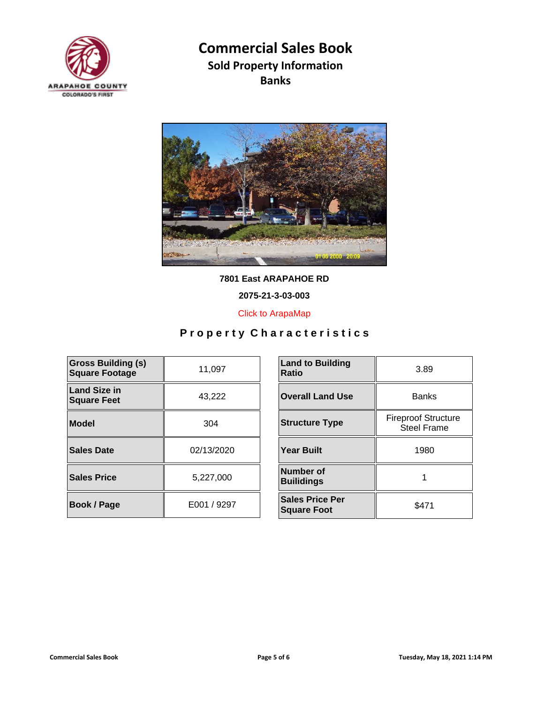



**7801 East ARAPAHOE RD**

**2075-21-3-03-003**

[Click to ArapaMap](https://gis.arapahoegov.com/arapamaplite/?PARCEL=2075-21-3-03-003)

| <b>Gross Building (s)</b><br><b>Square Footage</b> | 11,097      | <b>Land to Building</b><br><b>Ratio</b>      |
|----------------------------------------------------|-------------|----------------------------------------------|
| <b>Land Size in</b><br><b>Square Feet</b>          | 43,222      | <b>Overall Land Use</b>                      |
| <b>Model</b>                                       | 304         | <b>Structure Type</b>                        |
| Sales Date                                         | 02/13/2020  | <b>Year Built</b>                            |
| <b>Sales Price</b>                                 | 5,227,000   | Number of<br><b>Builidings</b>               |
| <b>Book / Page</b>                                 | E001 / 9297 | <b>Sales Price Per</b><br><b>Square Foot</b> |

| <b>Land to Building</b><br><b>Ratio</b>      | 3.89                                             |  |
|----------------------------------------------|--------------------------------------------------|--|
| <b>Overall Land Use</b>                      | <b>Banks</b>                                     |  |
| <b>Structure Type</b>                        | <b>Fireproof Structure</b><br><b>Steel Frame</b> |  |
| <b>Year Built</b>                            | 1980                                             |  |
| Number of<br><b>Builidings</b>               |                                                  |  |
| <b>Sales Price Per</b><br><b>Square Foot</b> | \$471                                            |  |